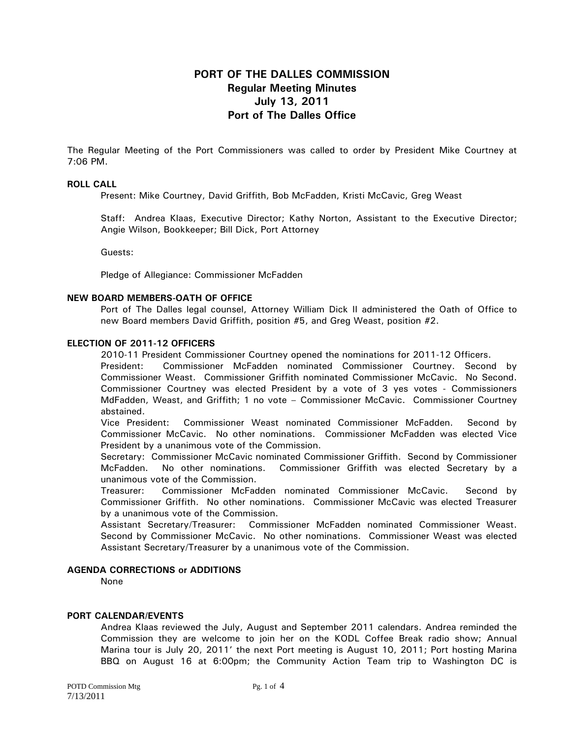# **PORT OF THE DALLES COMMISSION Regular Meeting Minutes July 13, 2011 Port of The Dalles Office**

The Regular Meeting of the Port Commissioners was called to order by President Mike Courtney at 7:06 PM.

## **ROLL CALL**

Present: Mike Courtney, David Griffith, Bob McFadden, Kristi McCavic, Greg Weast

Staff: Andrea Klaas, Executive Director; Kathy Norton, Assistant to the Executive Director; Angie Wilson, Bookkeeper; Bill Dick, Port Attorney

Guests:

Pledge of Allegiance: Commissioner McFadden

#### **NEW BOARD MEMBERS-OATH OF OFFICE**

Port of The Dalles legal counsel, Attorney William Dick II administered the Oath of Office to new Board members David Griffith, position #5, and Greg Weast, position #2.

#### **ELECTION OF 2011-12 OFFICERS**

2010-11 President Commissioner Courtney opened the nominations for 2011-12 Officers.

President: Commissioner McFadden nominated Commissioner Courtney. Second by Commissioner Weast. Commissioner Griffith nominated Commissioner McCavic. No Second. Commissioner Courtney was elected President by a vote of 3 yes votes - Commissioners MdFadden, Weast, and Griffith; 1 no vote – Commissioner McCavic. Commissioner Courtney abstained.

Vice President: Commissioner Weast nominated Commissioner McFadden. Second by Commissioner McCavic. No other nominations. Commissioner McFadden was elected Vice President by a unanimous vote of the Commission.

Secretary: Commissioner McCavic nominated Commissioner Griffith. Second by Commissioner McFadden. No other nominations. Commissioner Griffith was elected Secretary by a unanimous vote of the Commission.

Treasurer: Commissioner McFadden nominated Commissioner McCavic. Second by Commissioner Griffith. No other nominations. Commissioner McCavic was elected Treasurer by a unanimous vote of the Commission.

Assistant Secretary/Treasurer: Commissioner McFadden nominated Commissioner Weast. Second by Commissioner McCavic. No other nominations. Commissioner Weast was elected Assistant Secretary/Treasurer by a unanimous vote of the Commission.

# **AGENDA CORRECTIONS or ADDITIONS**

None

# **PORT CALENDAR/EVENTS**

Andrea Klaas reviewed the July, August and September 2011 calendars. Andrea reminded the Commission they are welcome to join her on the KODL Coffee Break radio show; Annual Marina tour is July 20, 2011' the next Port meeting is August 10, 2011; Port hosting Marina BBQ on August 16 at 6:00pm; the Community Action Team trip to Washington DC is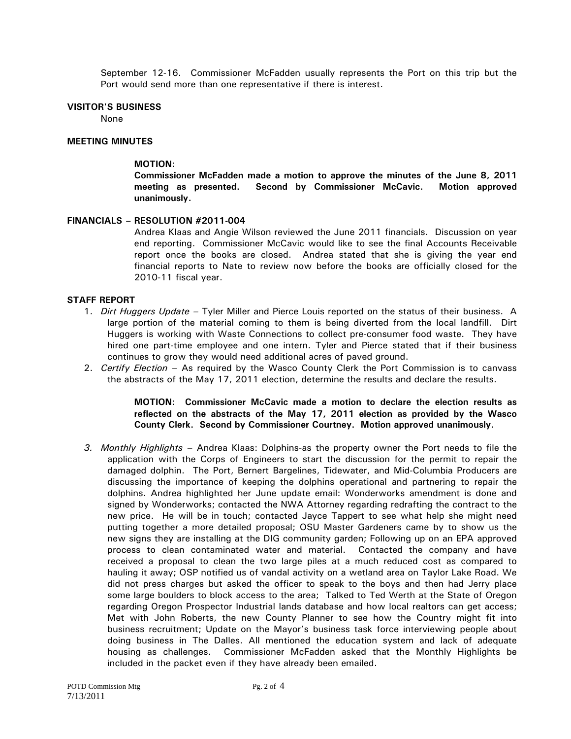September 12-16. Commissioner McFadden usually represents the Port on this trip but the Port would send more than one representative if there is interest.

## **VISITOR'S BUSINESS**

None

### **MEETING MINUTES**

## **MOTION:**

**Commissioner McFadden made a motion to approve the minutes of the June 8, 2011 meeting as presented. Second by Commissioner McCavic. Motion approved unanimously.** 

## **FINANCIALS – RESOLUTION #2011-004**

Andrea Klaas and Angie Wilson reviewed the June 2011 financials.Discussion on year end reporting. Commissioner McCavic would like to see the final Accounts Receivable report once the books are closed. Andrea stated that she is giving the year end financial reports to Nate to review now before the books are officially closed for the 2010-11 fiscal year.

## **STAFF REPORT**

- 1. *Dirt Huggers Update* Tyler Miller and Pierce Louis reported on the status of their business. A large portion of the material coming to them is being diverted from the local landfill. Dirt Huggers is working with Waste Connections to collect pre-consumer food waste. They have hired one part-time employee and one intern. Tyler and Pierce stated that if their business continues to grow they would need additional acres of paved ground.
- 2. *Certify Election –* As required by the Wasco County Clerk the Port Commission is to canvass the abstracts of the May 17, 2011 election, determine the results and declare the results.

# **MOTION: Commissioner McCavic made a motion to declare the election results as reflected on the abstracts of the May 17, 2011 election as provided by the Wasco County Clerk. Second by Commissioner Courtney. Motion approved unanimously.**

*3. Monthly Highlights –* Andrea Klaas: Dolphins-as the property owner the Port needs to file the application with the Corps of Engineers to start the discussion for the permit to repair the damaged dolphin. The Port, Bernert Bargelines, Tidewater, and Mid-Columbia Producers are discussing the importance of keeping the dolphins operational and partnering to repair the dolphins. Andrea highlighted her June update email: Wonderworks amendment is done and signed by Wonderworks; contacted the NWA Attorney regarding redrafting the contract to the new price. He will be in touch; contacted Jayce Tappert to see what help she might need putting together a more detailed proposal; OSU Master Gardeners came by to show us the new signs they are installing at the DIG community garden; Following up on an EPA approved process to clean contaminated water and material. Contacted the company and have received a proposal to clean the two large piles at a much reduced cost as compared to hauling it away; OSP notified us of vandal activity on a wetland area on Taylor Lake Road. We did not press charges but asked the officer to speak to the boys and then had Jerry place some large boulders to block access to the area; Talked to Ted Werth at the State of Oregon regarding Oregon Prospector Industrial lands database and how local realtors can get access; Met with John Roberts, the new County Planner to see how the Country might fit into business recruitment; Update on the Mayor's business task force interviewing people about doing business in The Dalles. All mentioned the education system and lack of adequate housing as challenges. Commissioner McFadden asked that the Monthly Highlights be included in the packet even if they have already been emailed.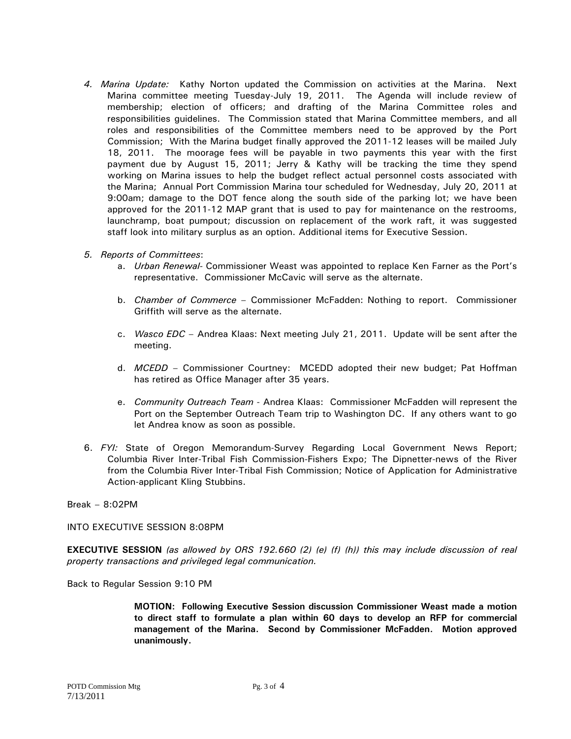- *4. Marina Update:* Kathy Norton updated the Commission on activities at the Marina. Next Marina committee meeting Tuesday-July 19, 2011. The Agenda will include review of membership; election of officers; and drafting of the Marina Committee roles and responsibilities guidelines. The Commission stated that Marina Committee members, and all roles and responsibilities of the Committee members need to be approved by the Port Commission; With the Marina budget finally approved the 2011-12 leases will be mailed July 18, 2011. The moorage fees will be payable in two payments this year with the first payment due by August 15, 2011; Jerry & Kathy will be tracking the time they spend working on Marina issues to help the budget reflect actual personnel costs associated with the Marina; Annual Port Commission Marina tour scheduled for Wednesday, July 20, 2011 at 9:00am; damage to the DOT fence along the south side of the parking lot; we have been approved for the 2011-12 MAP grant that is used to pay for maintenance on the restrooms, launchramp, boat pumpout; discussion on replacement of the work raft, it was suggested staff look into military surplus as an option. Additional items for Executive Session.
- *5. Reports of Committees*:
	- a. *Urban Renewal-* Commissioner Weast was appointed to replace Ken Farner as the Port's representative. Commissioner McCavic will serve as the alternate.
	- b. *Chamber of Commerce*  Commissioner McFadden: Nothing to report. Commissioner Griffith will serve as the alternate.
	- c. *Wasco EDC*  Andrea Klaas: Next meeting July 21, 2011. Update will be sent after the meeting.
	- d. *MCEDD* Commissioner Courtney: MCEDD adopted their new budget; Pat Hoffman has retired as Office Manager after 35 years.
	- e. *Community Outreach Team* Andrea Klaas: Commissioner McFadden will represent the Port on the September Outreach Team trip to Washington DC. If any others want to go let Andrea know as soon as possible.
- 6. *FYI:* State of Oregon Memorandum-Survey Regarding Local Government News Report; Columbia River Inter-Tribal Fish Commission-Fishers Expo; The Dipnetter-news of the River from the Columbia River Inter-Tribal Fish Commission; Notice of Application for Administrative Action-applicant Kling Stubbins.

Break – 8:02PM

INTO EXECUTIVE SESSION 8:08PM

**EXECUTIVE SESSION** *(as allowed by ORS 192.660 (2) (e) (f) (h)) this may include discussion of real property transactions and privileged legal communication.* 

Back to Regular Session 9:10 PM

**MOTION: Following Executive Session discussion Commissioner Weast made a motion to direct staff to formulate a plan within 60 days to develop an RFP for commercial management of the Marina. Second by Commissioner McFadden. Motion approved unanimously.**